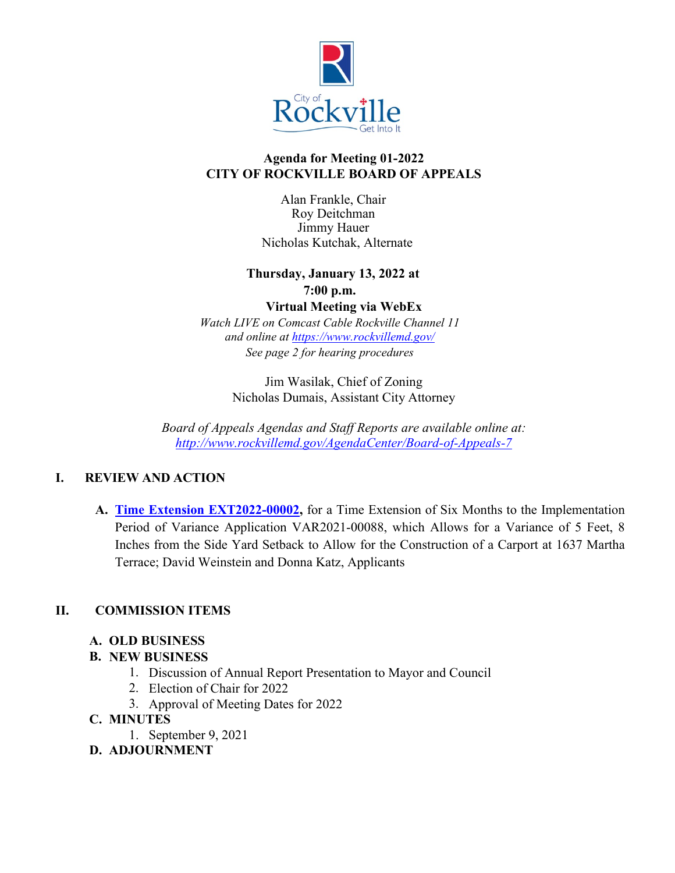

### **Agenda for Meeting 01-2022 CITY OF ROCKVILLE BOARD OF APPEALS**

Alan Frankle, Chair Roy Deitchman Jimmy Hauer Nicholas Kutchak, Alternate

## **Thursday, January 13, 2022 at 7:00 p.m.**

**Virtual Meeting via WebEx** *Watch LIVE on Comcast Cable Rockville Channel 11 and online at<https://www.rockvillemd.gov/>*

*See page 2 for hearing procedures*

Jim Wasilak, Chief of Zoning Nicholas Dumais, Assistant City Attorney

*Board of Appeals Agendas and Staff Reports are available online at: <http://www.rockvillemd.gov/AgendaCenter/Board-of-Appeals-7>*

## **I. REVIEW AND ACTION**

**A. [Time Extension EXT2022-00002,](https://www.rockvillemd.gov/DocumentCenter/View/43924/EXT2022-00002-Staff-Report_Memo-Web-Version)** for a Time Extension of Six Months to the Implementation Period of Variance Application VAR2021-00088, which Allows for a Variance of 5 Feet, 8 Inches from the Side Yard Setback to Allow for the Construction of a Carport at 1637 Martha Terrace; David Weinstein and Donna Katz, Applicants

## **II. COMMISSION ITEMS**

## **A. OLD BUSINESS**

## **B. NEW BUSINESS**

- 1. Discussion of Annual Report Presentation to Mayor and Council
- 2. Election of Chair for 2022
- 3. Approval of Meeting Dates for 2022

## **C. MINUTES**

1. September 9, 2021

# **D. ADJOURNMENT**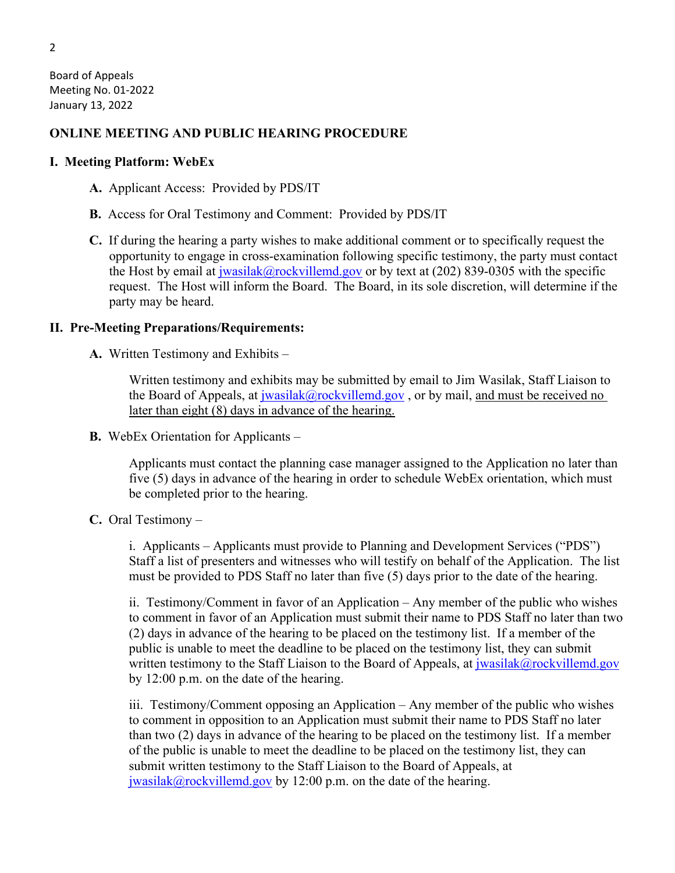Board of Appeals Meeting No. 01-2022 January 13, 2022

#### **ONLINE MEETING AND PUBLIC HEARING PROCEDURE**

#### **I. Meeting Platform: WebEx**

**A.** Applicant Access: Provided by PDS/IT

- **B.** Access for Oral Testimony and Comment: Provided by PDS/IT
- **C.** If during the hearing a party wishes to make additional comment or to specifically request the opportunity to engage in cross-examination following specific testimony, the party must contact the Host by email at  $jwasilak@rockvilled.gov$  or by text at (202) 839-0305 with the specific request. The Host will inform the Board. The Board, in its sole discretion, will determine if the party may be heard.

#### **II. Pre-Meeting Preparations/Requirements:**

**A.** Written Testimony and Exhibits –

Written testimony and exhibits may be submitted by email to Jim Wasilak, Staff Liaison to the Board of Appeals, at [jwasilak@rockvillemd.gov](mailto:jwasilak@rockvillemd.gov), or by mail, and must be received no later than eight (8) days in advance of the hearing.

**B.** WebEx Orientation for Applicants –

Applicants must contact the planning case manager assigned to the Application no later than five (5) days in advance of the hearing in order to schedule WebEx orientation, which must be completed prior to the hearing.

**C.** Oral Testimony –

i. Applicants – Applicants must provide to Planning and Development Services ("PDS") Staff a list of presenters and witnesses who will testify on behalf of the Application. The list must be provided to PDS Staff no later than five (5) days prior to the date of the hearing.

ii. Testimony/Comment in favor of an Application – Any member of the public who wishes to comment in favor of an Application must submit their name to PDS Staff no later than two (2) days in advance of the hearing to be placed on the testimony list. If a member of the public is unable to meet the deadline to be placed on the testimony list, they can submit written testimony to the Staff Liaison to the Board of Appeals, at  $\frac{1}{1}$  wasilak $\omega$ rockvillemd.gov by 12:00 p.m. on the date of the hearing.

iii. Testimony/Comment opposing an Application – Any member of the public who wishes to comment in opposition to an Application must submit their name to PDS Staff no later than two (2) days in advance of the hearing to be placed on the testimony list. If a member of the public is unable to meet the deadline to be placed on the testimony list, they can submit written testimony to the Staff Liaison to the Board of Appeals, at [jwasilak@rockvillemd.gov](mailto:jwasilak@rockvillemd.gov) by 12:00 p.m. on the date of the hearing.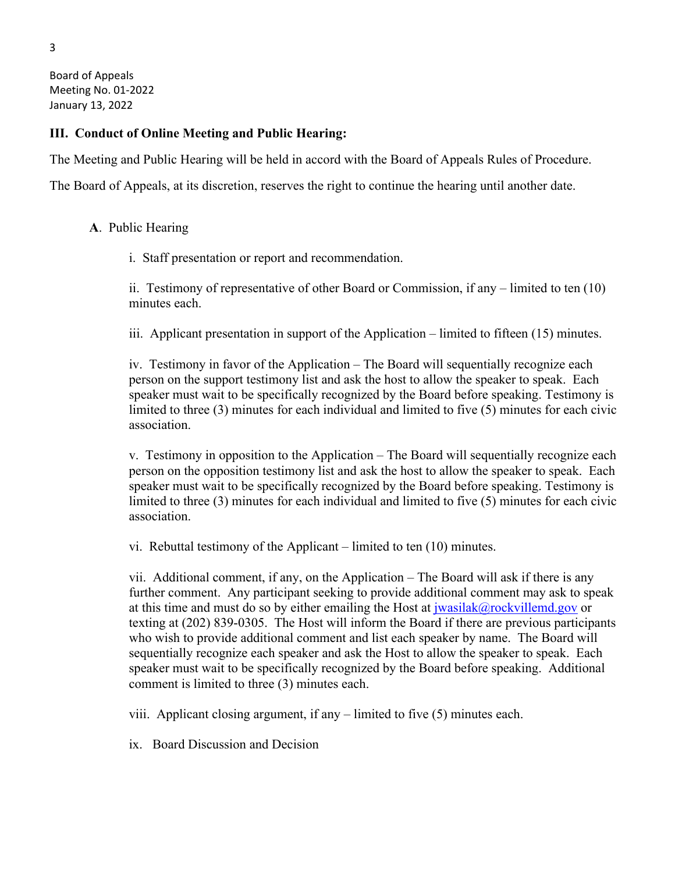Board of Appeals Meeting No. 01-2022 January 13, 2022

#### **III. Conduct of Online Meeting and Public Hearing:**

The Meeting and Public Hearing will be held in accord with the Board of Appeals Rules of Procedure.

The Board of Appeals, at its discretion, reserves the right to continue the hearing until another date.

#### **A**. Public Hearing

i. Staff presentation or report and recommendation.

ii. Testimony of representative of other Board or Commission, if any – limited to ten (10) minutes each.

iii. Applicant presentation in support of the Application – limited to fifteen (15) minutes.

iv. Testimony in favor of the Application – The Board will sequentially recognize each person on the support testimony list and ask the host to allow the speaker to speak. Each speaker must wait to be specifically recognized by the Board before speaking. Testimony is limited to three (3) minutes for each individual and limited to five (5) minutes for each civic association.

v. Testimony in opposition to the Application – The Board will sequentially recognize each person on the opposition testimony list and ask the host to allow the speaker to speak. Each speaker must wait to be specifically recognized by the Board before speaking. Testimony is limited to three (3) minutes for each individual and limited to five (5) minutes for each civic association.

vi. Rebuttal testimony of the Applicant – limited to ten (10) minutes.

vii. Additional comment, if any, on the Application – The Board will ask if there is any further comment. Any participant seeking to provide additional comment may ask to speak at this time and must do so by either emailing the Host at  $j$ wasilak $@$ rockvillemd.gov or texting at (202) 839-0305. The Host will inform the Board if there are previous participants who wish to provide additional comment and list each speaker by name. The Board will sequentially recognize each speaker and ask the Host to allow the speaker to speak. Each speaker must wait to be specifically recognized by the Board before speaking. Additional comment is limited to three (3) minutes each.

viii. Applicant closing argument, if any – limited to five (5) minutes each.

ix. Board Discussion and Decision